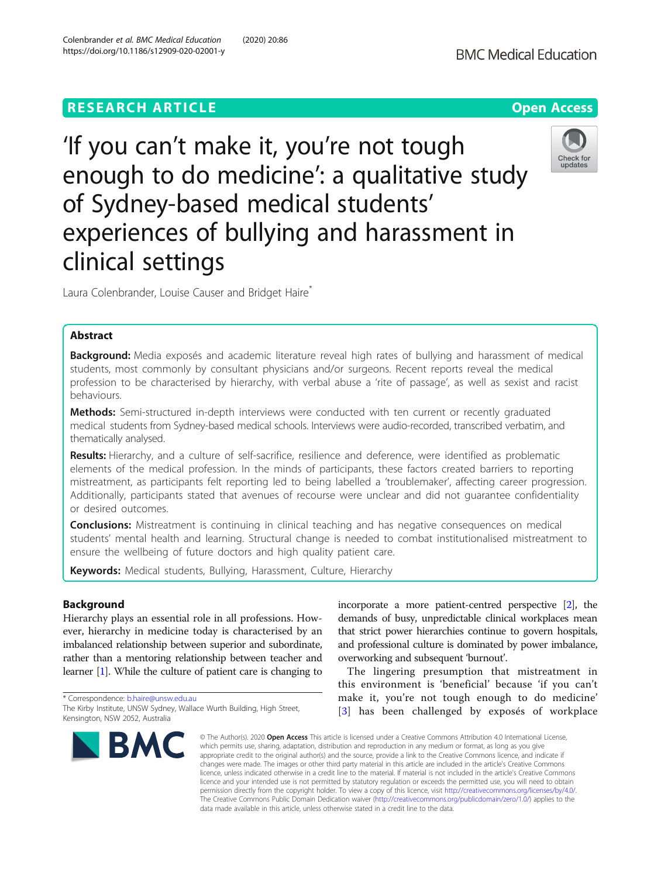# **RESEARCH ARTICLE Example 2014 12:30 The Contract of Contract ACCESS**

# 'If you can't make it, you're not tough enough to do medicine': a qualitative study of Sydney-based medical students' experiences of bullying and harassment in clinical settings

Laura Colenbrander, Louise Causer and Bridget Haire<sup>\*</sup>

# Abstract

Background: Media exposés and academic literature reveal high rates of bullying and harassment of medical students, most commonly by consultant physicians and/or surgeons. Recent reports reveal the medical profession to be characterised by hierarchy, with verbal abuse a 'rite of passage', as well as sexist and racist behaviours.

Methods: Semi-structured in-depth interviews were conducted with ten current or recently graduated medical students from Sydney-based medical schools. Interviews were audio-recorded, transcribed verbatim, and thematically analysed.

Results: Hierarchy, and a culture of self-sacrifice, resilience and deference, were identified as problematic elements of the medical profession. In the minds of participants, these factors created barriers to reporting mistreatment, as participants felt reporting led to being labelled a 'troublemaker', affecting career progression. Additionally, participants stated that avenues of recourse were unclear and did not guarantee confidentiality or desired outcomes.

**Conclusions:** Mistreatment is continuing in clinical teaching and has negative consequences on medical students' mental health and learning. Structural change is needed to combat institutionalised mistreatment to ensure the wellbeing of future doctors and high quality patient care.

Keywords: Medical students, Bullying, Harassment, Culture, Hierarchy

# Background

Hierarchy plays an essential role in all professions. However, hierarchy in medicine today is characterised by an imbalanced relationship between superior and subordinate, rather than a mentoring relationship between teacher and learner [\[1\]](#page-10-0). While the culture of patient care is changing to

\* Correspondence: [b.haire@unsw.edu.au](mailto:b.haire@unsw.edu.au)

**BMC** 

# incorporate a more patient-centred perspective [[2](#page-10-0)], the demands of busy, unpredictable clinical workplaces mean that strict power hierarchies continue to govern hospitals, and professional culture is dominated by power imbalance, overworking and subsequent 'burnout'.

The lingering presumption that mistreatment in this environment is 'beneficial' because 'if you can't make it, you're not tough enough to do medicine' [[3](#page-10-0)] has been challenged by exposés of workplace

© The Author(s), 2020 **Open Access** This article is licensed under a Creative Commons Attribution 4.0 International License, which permits use, sharing, adaptation, distribution and reproduction in any medium or format, as long as you give appropriate credit to the original author(s) and the source, provide a link to the Creative Commons licence, and indicate if changes were made. The images or other third party material in this article are included in the article's Creative Commons licence, unless indicated otherwise in a credit line to the material. If material is not included in the article's Creative Commons licence and your intended use is not permitted by statutory regulation or exceeds the permitted use, you will need to obtain permission directly from the copyright holder. To view a copy of this licence, visit [http://creativecommons.org/licenses/by/4.0/.](http://creativecommons.org/licenses/by/4.0/) The Creative Commons Public Domain Dedication waiver [\(http://creativecommons.org/publicdomain/zero/1.0/](http://creativecommons.org/publicdomain/zero/1.0/)) applies to the data made available in this article, unless otherwise stated in a credit line to the data.





The Kirby Institute, UNSW Sydney, Wallace Wurth Building, High Street, Kensington, NSW 2052, Australia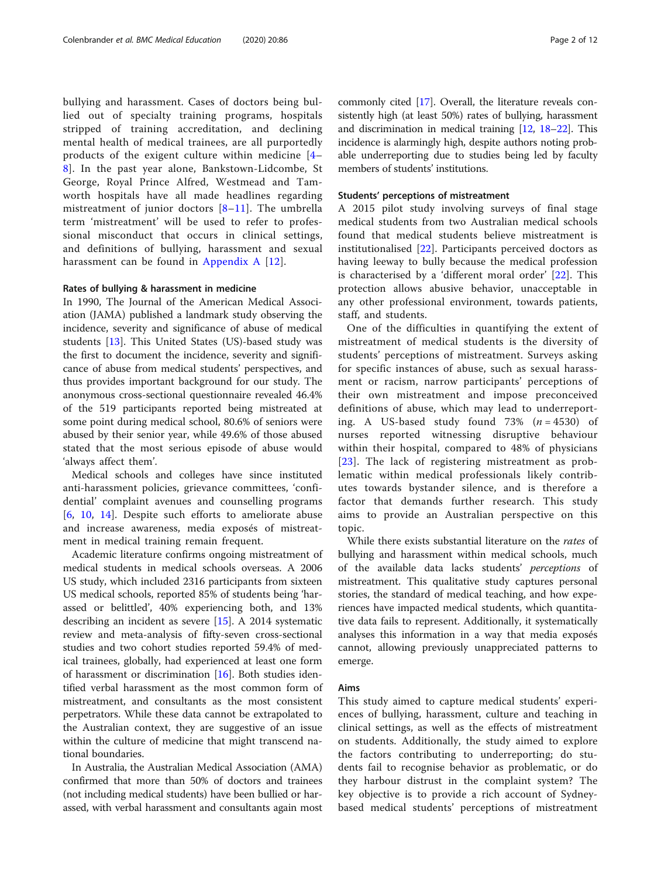bullying and harassment. Cases of doctors being bullied out of specialty training programs, hospitals stripped of training accreditation, and declining mental health of medical trainees, are all purportedly products of the exigent culture within medicine [\[4](#page-10-0)– [8\]](#page-11-0). In the past year alone, Bankstown-Lidcombe, St George, Royal Prince Alfred, Westmead and Tamworth hospitals have all made headlines regarding mistreatment of junior doctors [\[8](#page-11-0)–[11\]](#page-11-0). The umbrella term 'mistreatment' will be used to refer to professional misconduct that occurs in clinical settings, and definitions of bullying, harassment and sexual harassment can be found in [Appendix A](#page-9-0) [\[12](#page-11-0)].

#### Rates of bullying & harassment in medicine

In 1990, The Journal of the American Medical Association (JAMA) published a landmark study observing the incidence, severity and significance of abuse of medical students [\[13](#page-11-0)]. This United States (US)-based study was the first to document the incidence, severity and significance of abuse from medical students' perspectives, and thus provides important background for our study. The anonymous cross-sectional questionnaire revealed 46.4% of the 519 participants reported being mistreated at some point during medical school, 80.6% of seniors were abused by their senior year, while 49.6% of those abused stated that the most serious episode of abuse would 'always affect them'.

Medical schools and colleges have since instituted anti-harassment policies, grievance committees, 'confidential' complaint avenues and counselling programs [[6,](#page-10-0) [10,](#page-11-0) [14](#page-11-0)]. Despite such efforts to ameliorate abuse and increase awareness, media exposés of mistreatment in medical training remain frequent.

Academic literature confirms ongoing mistreatment of medical students in medical schools overseas. A 2006 US study, which included 2316 participants from sixteen US medical schools, reported 85% of students being 'harassed or belittled', 40% experiencing both, and 13% describing an incident as severe [[15\]](#page-11-0). A 2014 systematic review and meta-analysis of fifty-seven cross-sectional studies and two cohort studies reported 59.4% of medical trainees, globally, had experienced at least one form of harassment or discrimination [\[16\]](#page-11-0). Both studies identified verbal harassment as the most common form of mistreatment, and consultants as the most consistent perpetrators. While these data cannot be extrapolated to the Australian context, they are suggestive of an issue within the culture of medicine that might transcend national boundaries.

In Australia, the Australian Medical Association (AMA) confirmed that more than 50% of doctors and trainees (not including medical students) have been bullied or harassed, with verbal harassment and consultants again most commonly cited [[17](#page-11-0)]. Overall, the literature reveals consistently high (at least 50%) rates of bullying, harassment and discrimination in medical training [[12](#page-11-0), [18](#page-11-0)–[22](#page-11-0)]. This incidence is alarmingly high, despite authors noting probable underreporting due to studies being led by faculty members of students' institutions.

#### Students' perceptions of mistreatment

A 2015 pilot study involving surveys of final stage medical students from two Australian medical schools found that medical students believe mistreatment is institutionalised [[22\]](#page-11-0). Participants perceived doctors as having leeway to bully because the medical profession is characterised by a 'different moral order' [\[22](#page-11-0)]. This protection allows abusive behavior, unacceptable in any other professional environment, towards patients, staff, and students.

One of the difficulties in quantifying the extent of mistreatment of medical students is the diversity of students' perceptions of mistreatment. Surveys asking for specific instances of abuse, such as sexual harassment or racism, narrow participants' perceptions of their own mistreatment and impose preconceived definitions of abuse, which may lead to underreporting. A US-based study found 73%  $(n = 4530)$  of nurses reported witnessing disruptive behaviour within their hospital, compared to 48% of physicians [[23](#page-11-0)]. The lack of registering mistreatment as problematic within medical professionals likely contributes towards bystander silence, and is therefore a factor that demands further research. This study aims to provide an Australian perspective on this topic.

While there exists substantial literature on the *rates* of bullying and harassment within medical schools, much of the available data lacks students' perceptions of mistreatment. This qualitative study captures personal stories, the standard of medical teaching, and how experiences have impacted medical students, which quantitative data fails to represent. Additionally, it systematically analyses this information in a way that media exposés cannot, allowing previously unappreciated patterns to emerge.

#### Aims

This study aimed to capture medical students' experiences of bullying, harassment, culture and teaching in clinical settings, as well as the effects of mistreatment on students. Additionally, the study aimed to explore the factors contributing to underreporting; do students fail to recognise behavior as problematic, or do they harbour distrust in the complaint system? The key objective is to provide a rich account of Sydneybased medical students' perceptions of mistreatment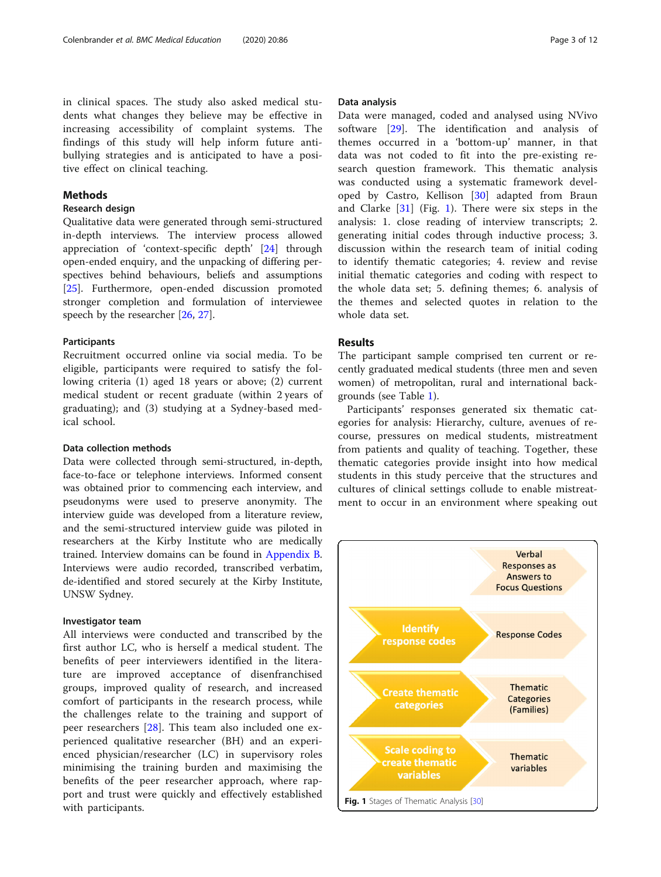in clinical spaces. The study also asked medical students what changes they believe may be effective in increasing accessibility of complaint systems. The findings of this study will help inform future antibullying strategies and is anticipated to have a positive effect on clinical teaching.

#### Methods

# Research design

Qualitative data were generated through semi-structured in-depth interviews. The interview process allowed appreciation of 'context-specific depth' [[24\]](#page-11-0) through open-ended enquiry, and the unpacking of differing perspectives behind behaviours, beliefs and assumptions [[25\]](#page-11-0). Furthermore, open-ended discussion promoted stronger completion and formulation of interviewee speech by the researcher [[26](#page-11-0), [27](#page-11-0)].

#### **Participants**

Recruitment occurred online via social media. To be eligible, participants were required to satisfy the following criteria (1) aged 18 years or above; (2) current medical student or recent graduate (within 2 years of graduating); and (3) studying at a Sydney-based medical school.

#### Data collection methods

Data were collected through semi-structured, in-depth, face-to-face or telephone interviews. Informed consent was obtained prior to commencing each interview, and pseudonyms were used to preserve anonymity. The interview guide was developed from a literature review, and the semi-structured interview guide was piloted in researchers at the Kirby Institute who are medically trained. Interview domains can be found in [Appendix B](#page-9-0). Interviews were audio recorded, transcribed verbatim, de-identified and stored securely at the Kirby Institute, UNSW Sydney.

#### Investigator team

All interviews were conducted and transcribed by the first author LC, who is herself a medical student. The benefits of peer interviewers identified in the literature are improved acceptance of disenfranchised groups, improved quality of research, and increased comfort of participants in the research process, while the challenges relate to the training and support of peer researchers [[28\]](#page-11-0). This team also included one experienced qualitative researcher (BH) and an experienced physician/researcher (LC) in supervisory roles minimising the training burden and maximising the benefits of the peer researcher approach, where rapport and trust were quickly and effectively established with participants.

#### Data analysis

Data were managed, coded and analysed using NVivo software [[29\]](#page-11-0). The identification and analysis of themes occurred in a 'bottom-up' manner, in that data was not coded to fit into the pre-existing research question framework. This thematic analysis was conducted using a systematic framework developed by Castro, Kellison [[30\]](#page-11-0) adapted from Braun and Clarke  $[31]$  $[31]$  $[31]$  (Fig. 1). There were six steps in the analysis: 1. close reading of interview transcripts; 2. generating initial codes through inductive process; 3. discussion within the research team of initial coding to identify thematic categories; 4. review and revise initial thematic categories and coding with respect to the whole data set; 5. defining themes; 6. analysis of the themes and selected quotes in relation to the whole data set.

# Results

The participant sample comprised ten current or recently graduated medical students (three men and seven women) of metropolitan, rural and international backgrounds (see Table [1](#page-3-0)).

Participants' responses generated six thematic categories for analysis: Hierarchy, culture, avenues of recourse, pressures on medical students, mistreatment from patients and quality of teaching. Together, these thematic categories provide insight into how medical students in this study perceive that the structures and cultures of clinical settings collude to enable mistreatment to occur in an environment where speaking out

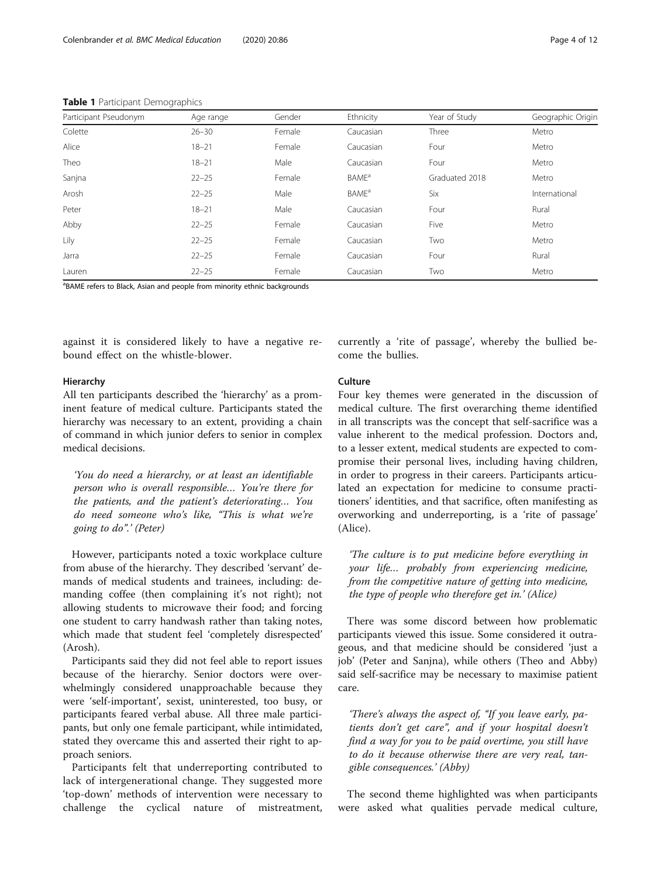| Participant Pseudonym | Age range | Gender | Ethnicity                | Year of Study  | Geographic Origin |
|-----------------------|-----------|--------|--------------------------|----------------|-------------------|
| Colette               | $26 - 30$ | Female | Caucasian                | Three          | Metro             |
| Alice                 | $18 - 21$ | Female | Caucasian                | Four           | Metro             |
| Theo                  | $18 - 21$ | Male   | Caucasian                | Four           | Metro             |
| Sanjna                | $22 - 25$ | Female | <b>BAME</b> <sup>a</sup> | Graduated 2018 | Metro             |
| Arosh                 | $22 - 25$ | Male   | <b>BAME</b> <sup>a</sup> | Six            | International     |
| Peter                 | $18 - 21$ | Male   | Caucasian                | Four           | Rural             |
| Abby                  | $22 - 25$ | Female | Caucasian                | Five           | Metro             |
| Lily                  | $22 - 25$ | Female | Caucasian                | Two            | Metro             |
| Jarra                 | $22 - 25$ | Female | Caucasian                | Four           | Rural             |
| Lauren                | $22 - 25$ | Female | Caucasian                | Two            | Metro             |

<span id="page-3-0"></span>Table 1 Participant Demographics

<sup>a</sup>BAME refers to Black, Asian and people from minority ethnic backgrounds

against it is considered likely to have a negative rebound effect on the whistle-blower.

#### Hierarchy

All ten participants described the 'hierarchy' as a prominent feature of medical culture. Participants stated the hierarchy was necessary to an extent, providing a chain of command in which junior defers to senior in complex medical decisions.

'You do need a hierarchy, or at least an identifiable person who is overall responsible… You're there for the patients, and the patient's deteriorating… You do need someone who's like, "This is what we're going to do".' (Peter)

However, participants noted a toxic workplace culture from abuse of the hierarchy. They described 'servant' demands of medical students and trainees, including: demanding coffee (then complaining it's not right); not allowing students to microwave their food; and forcing one student to carry handwash rather than taking notes, which made that student feel 'completely disrespected' (Arosh).

Participants said they did not feel able to report issues because of the hierarchy. Senior doctors were overwhelmingly considered unapproachable because they were 'self-important', sexist, uninterested, too busy, or participants feared verbal abuse. All three male participants, but only one female participant, while intimidated, stated they overcame this and asserted their right to approach seniors.

Participants felt that underreporting contributed to lack of intergenerational change. They suggested more 'top-down' methods of intervention were necessary to challenge the cyclical nature of mistreatment,

currently a 'rite of passage', whereby the bullied become the bullies.

# Culture

Four key themes were generated in the discussion of medical culture. The first overarching theme identified in all transcripts was the concept that self-sacrifice was a value inherent to the medical profession. Doctors and, to a lesser extent, medical students are expected to compromise their personal lives, including having children, in order to progress in their careers. Participants articulated an expectation for medicine to consume practitioners' identities, and that sacrifice, often manifesting as overworking and underreporting, is a 'rite of passage' (Alice).

'The culture is to put medicine before everything in your life… probably from experiencing medicine, from the competitive nature of getting into medicine, the type of people who therefore get in.' (Alice)

There was some discord between how problematic participants viewed this issue. Some considered it outrageous, and that medicine should be considered 'just a job' (Peter and Sanjna), while others (Theo and Abby) said self-sacrifice may be necessary to maximise patient care.

'There's always the aspect of, "If you leave early, patients don't get care", and if your hospital doesn't find a way for you to be paid overtime, you still have to do it because otherwise there are very real, tangible consequences.' (Abby)

The second theme highlighted was when participants were asked what qualities pervade medical culture,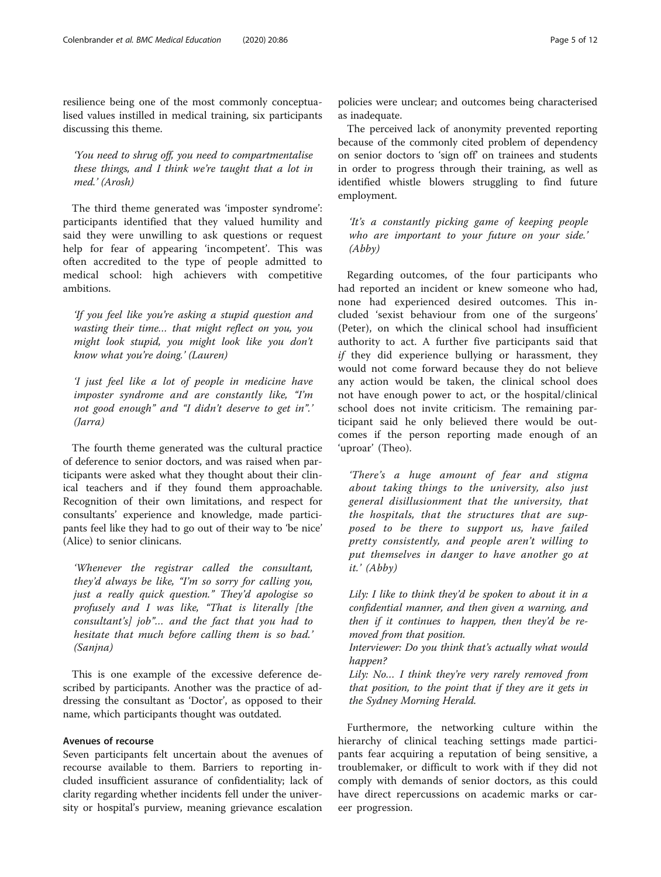resilience being one of the most commonly conceptualised values instilled in medical training, six participants discussing this theme.

'You need to shrug off, you need to compartmentalise these things, and I think we're taught that a lot in med.' (Arosh)

The third theme generated was 'imposter syndrome': participants identified that they valued humility and said they were unwilling to ask questions or request help for fear of appearing 'incompetent'. This was often accredited to the type of people admitted to medical school: high achievers with competitive ambitions.

'If you feel like you're asking a stupid question and wasting their time… that might reflect on you, you might look stupid, you might look like you don't know what you're doing.' (Lauren)

'I just feel like a lot of people in medicine have imposter syndrome and are constantly like, "I'm not good enough" and "I didn't deserve to get in".' (Jarra)

The fourth theme generated was the cultural practice of deference to senior doctors, and was raised when participants were asked what they thought about their clinical teachers and if they found them approachable. Recognition of their own limitations, and respect for consultants' experience and knowledge, made participants feel like they had to go out of their way to 'be nice' (Alice) to senior clinicans.

'Whenever the registrar called the consultant, they'd always be like, "I'm so sorry for calling you, just a really quick question." They'd apologise so profusely and I was like, "That is literally [the consultant's] job"… and the fact that you had to hesitate that much before calling them is so bad.' (Sanjna)

This is one example of the excessive deference described by participants. Another was the practice of addressing the consultant as 'Doctor', as opposed to their name, which participants thought was outdated.

#### Avenues of recourse

Seven participants felt uncertain about the avenues of recourse available to them. Barriers to reporting included insufficient assurance of confidentiality; lack of clarity regarding whether incidents fell under the university or hospital's purview, meaning grievance escalation

policies were unclear; and outcomes being characterised as inadequate.

The perceived lack of anonymity prevented reporting because of the commonly cited problem of dependency on senior doctors to 'sign off' on trainees and students in order to progress through their training, as well as identified whistle blowers struggling to find future employment.

'It's a constantly picking game of keeping people who are important to your future on your side.' (Abby)

Regarding outcomes, of the four participants who had reported an incident or knew someone who had, none had experienced desired outcomes. This included 'sexist behaviour from one of the surgeons' (Peter), on which the clinical school had insufficient authority to act. A further five participants said that if they did experience bullying or harassment, they would not come forward because they do not believe any action would be taken, the clinical school does not have enough power to act, or the hospital/clinical school does not invite criticism. The remaining participant said he only believed there would be outcomes if the person reporting made enough of an 'uproar' (Theo).

'There's a huge amount of fear and stigma about taking things to the university, also just general disillusionment that the university, that the hospitals, that the structures that are supposed to be there to support us, have failed pretty consistently, and people aren't willing to put themselves in danger to have another go at it.' (Abby)

Lily: I like to think they'd be spoken to about it in a confidential manner, and then given a warning, and then if it continues to happen, then they'd be removed from that position.

Interviewer: Do you think that's actually what would happen?

Lily: No... I think they're very rarely removed from that position, to the point that if they are it gets in the Sydney Morning Herald.

Furthermore, the networking culture within the hierarchy of clinical teaching settings made participants fear acquiring a reputation of being sensitive, a troublemaker, or difficult to work with if they did not comply with demands of senior doctors, as this could have direct repercussions on academic marks or career progression.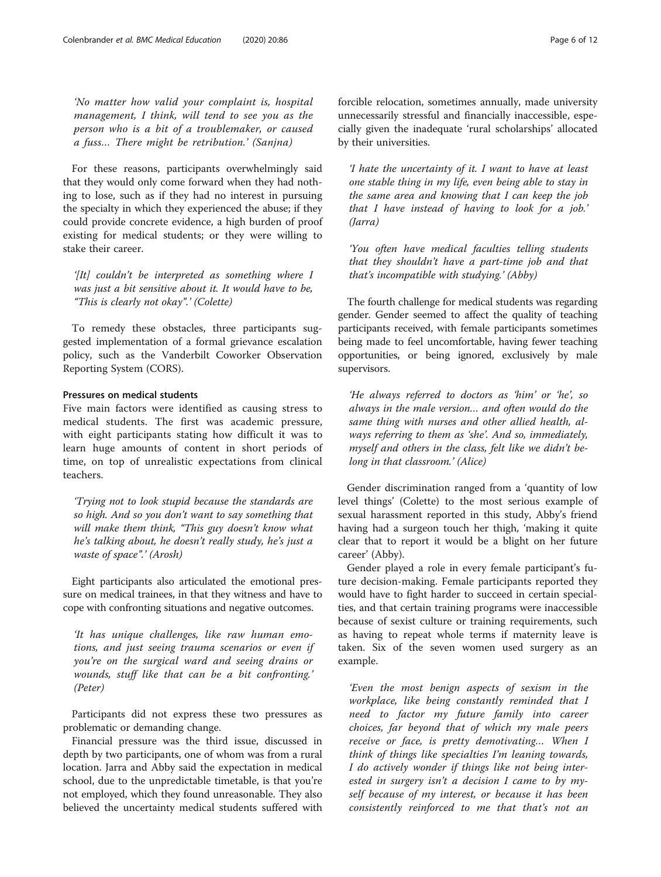'No matter how valid your complaint is, hospital management, I think, will tend to see you as the person who is a bit of a troublemaker, or caused a fuss… There might be retribution.' (Sanjna)

For these reasons, participants overwhelmingly said that they would only come forward when they had nothing to lose, such as if they had no interest in pursuing the specialty in which they experienced the abuse; if they could provide concrete evidence, a high burden of proof existing for medical students; or they were willing to stake their career.

'[It] couldn't be interpreted as something where I was just a bit sensitive about it. It would have to be, "This is clearly not okay".' (Colette)

To remedy these obstacles, three participants suggested implementation of a formal grievance escalation policy, such as the Vanderbilt Coworker Observation Reporting System (CORS).

#### Pressures on medical students

Five main factors were identified as causing stress to medical students. The first was academic pressure, with eight participants stating how difficult it was to learn huge amounts of content in short periods of time, on top of unrealistic expectations from clinical teachers.

'Trying not to look stupid because the standards are so high. And so you don't want to say something that will make them think, "This guy doesn't know what he's talking about, he doesn't really study, he's just a waste of space".' (Arosh)

Eight participants also articulated the emotional pressure on medical trainees, in that they witness and have to cope with confronting situations and negative outcomes.

'It has unique challenges, like raw human emotions, and just seeing trauma scenarios or even if you're on the surgical ward and seeing drains or wounds, stuff like that can be a bit confronting.' (Peter)

Participants did not express these two pressures as problematic or demanding change.

Financial pressure was the third issue, discussed in depth by two participants, one of whom was from a rural location. Jarra and Abby said the expectation in medical school, due to the unpredictable timetable, is that you're not employed, which they found unreasonable. They also believed the uncertainty medical students suffered with forcible relocation, sometimes annually, made university unnecessarily stressful and financially inaccessible, especially given the inadequate 'rural scholarships' allocated by their universities.

'I hate the uncertainty of it. I want to have at least one stable thing in my life, even being able to stay in the same area and knowing that I can keep the job that I have instead of having to look for a job.' (Jarra)

'You often have medical faculties telling students that they shouldn't have a part-time job and that that's incompatible with studying.' (Abby)

The fourth challenge for medical students was regarding gender. Gender seemed to affect the quality of teaching participants received, with female participants sometimes being made to feel uncomfortable, having fewer teaching opportunities, or being ignored, exclusively by male supervisors.

'He always referred to doctors as 'him' or 'he', so always in the male version… and often would do the same thing with nurses and other allied health, always referring to them as 'she'. And so, immediately, myself and others in the class, felt like we didn't belong in that classroom.' (Alice)

Gender discrimination ranged from a 'quantity of low level things' (Colette) to the most serious example of sexual harassment reported in this study, Abby's friend having had a surgeon touch her thigh, 'making it quite clear that to report it would be a blight on her future career' (Abby).

Gender played a role in every female participant's future decision-making. Female participants reported they would have to fight harder to succeed in certain specialties, and that certain training programs were inaccessible because of sexist culture or training requirements, such as having to repeat whole terms if maternity leave is taken. Six of the seven women used surgery as an example.

'Even the most benign aspects of sexism in the workplace, like being constantly reminded that I need to factor my future family into career choices, far beyond that of which my male peers receive or face, is pretty demotivating… When I think of things like specialties I'm leaning towards, I do actively wonder if things like not being interested in surgery isn't a decision I came to by myself because of my interest, or because it has been consistently reinforced to me that that's not an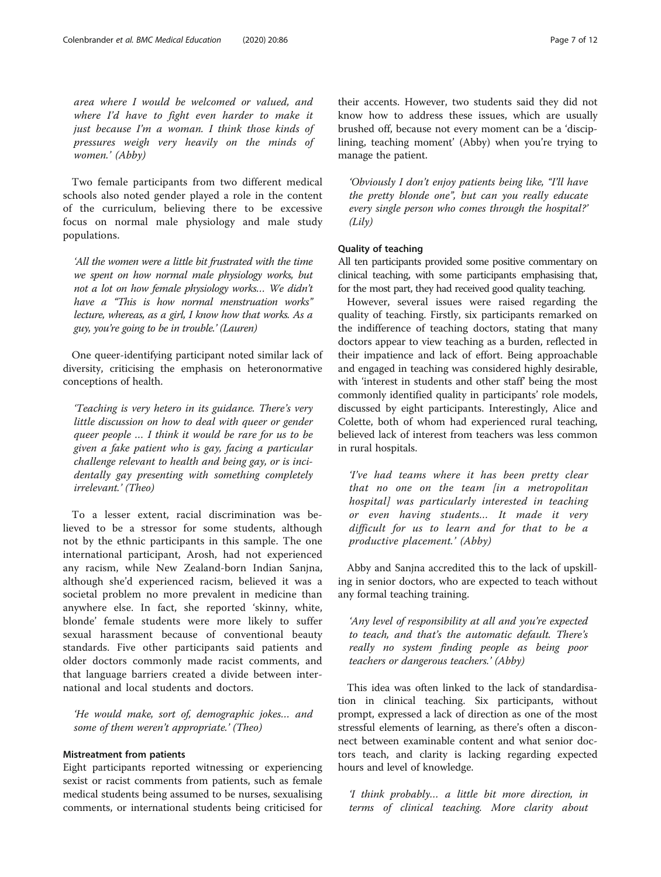area where I would be welcomed or valued, and where I'd have to fight even harder to make it just because I'm a woman. I think those kinds of pressures weigh very heavily on the minds of women.' (Abby)

Two female participants from two different medical schools also noted gender played a role in the content of the curriculum, believing there to be excessive focus on normal male physiology and male study populations.

'All the women were a little bit frustrated with the time we spent on how normal male physiology works, but not a lot on how female physiology works… We didn't have a "This is how normal menstruation works" lecture, whereas, as a girl, I know how that works. As a guy, you're going to be in trouble.' (Lauren)

One queer-identifying participant noted similar lack of diversity, criticising the emphasis on heteronormative conceptions of health.

'Teaching is very hetero in its guidance. There's very little discussion on how to deal with queer or gender queer people … I think it would be rare for us to be given a fake patient who is gay, facing a particular challenge relevant to health and being gay, or is incidentally gay presenting with something completely irrelevant.' (Theo)

To a lesser extent, racial discrimination was believed to be a stressor for some students, although not by the ethnic participants in this sample. The one international participant, Arosh, had not experienced any racism, while New Zealand-born Indian Sanjna, although she'd experienced racism, believed it was a societal problem no more prevalent in medicine than anywhere else. In fact, she reported 'skinny, white, blonde' female students were more likely to suffer sexual harassment because of conventional beauty standards. Five other participants said patients and older doctors commonly made racist comments, and that language barriers created a divide between international and local students and doctors.

'He would make, sort of, demographic jokes… and some of them weren't appropriate.' (Theo)

# Mistreatment from patients

Eight participants reported witnessing or experiencing sexist or racist comments from patients, such as female medical students being assumed to be nurses, sexualising comments, or international students being criticised for

their accents. However, two students said they did not know how to address these issues, which are usually brushed off, because not every moment can be a 'disciplining, teaching moment' (Abby) when you're trying to manage the patient.

'Obviously I don't enjoy patients being like, "I'll have the pretty blonde one", but can you really educate every single person who comes through the hospital?' (Lily)

#### Quality of teaching

All ten participants provided some positive commentary on clinical teaching, with some participants emphasising that, for the most part, they had received good quality teaching.

However, several issues were raised regarding the quality of teaching. Firstly, six participants remarked on the indifference of teaching doctors, stating that many doctors appear to view teaching as a burden, reflected in their impatience and lack of effort. Being approachable and engaged in teaching was considered highly desirable, with 'interest in students and other staff' being the most commonly identified quality in participants' role models, discussed by eight participants. Interestingly, Alice and Colette, both of whom had experienced rural teaching, believed lack of interest from teachers was less common in rural hospitals.

'I've had teams where it has been pretty clear that no one on the team [in a metropolitan hospital] was particularly interested in teaching or even having students… It made it very difficult for us to learn and for that to be a productive placement.' (Abby)

Abby and Sanjna accredited this to the lack of upskilling in senior doctors, who are expected to teach without any formal teaching training.

'Any level of responsibility at all and you're expected to teach, and that's the automatic default. There's really no system finding people as being poor teachers or dangerous teachers.' (Abby)

This idea was often linked to the lack of standardisation in clinical teaching. Six participants, without prompt, expressed a lack of direction as one of the most stressful elements of learning, as there's often a disconnect between examinable content and what senior doctors teach, and clarity is lacking regarding expected hours and level of knowledge.

'I think probably… a little bit more direction, in terms of clinical teaching. More clarity about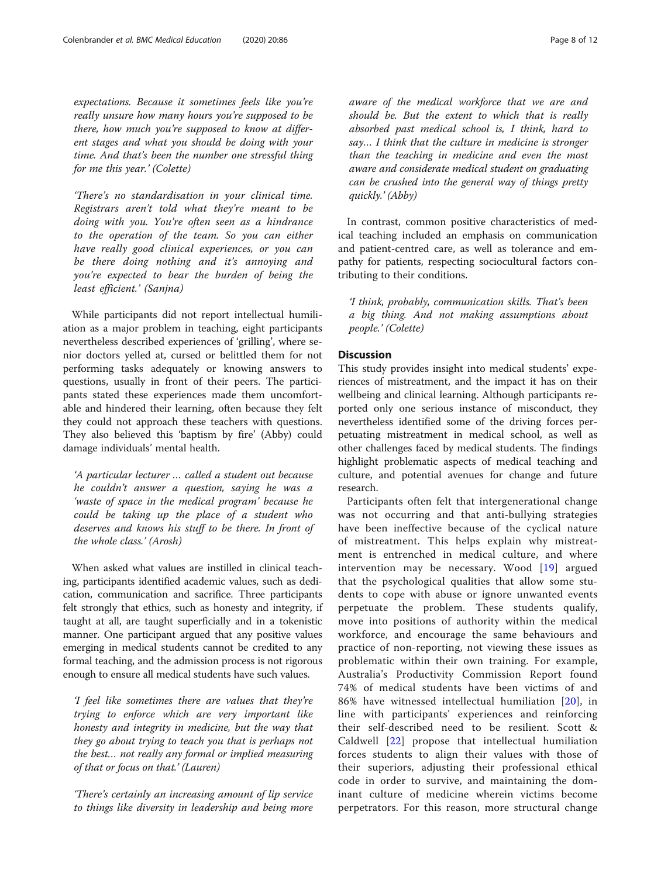expectations. Because it sometimes feels like you're really unsure how many hours you're supposed to be there, how much you're supposed to know at different stages and what you should be doing with your time. And that's been the number one stressful thing for me this year.' (Colette)

'There's no standardisation in your clinical time. Registrars aren't told what they're meant to be doing with you. You're often seen as a hindrance to the operation of the team. So you can either have really good clinical experiences, or you can be there doing nothing and it's annoying and you're expected to bear the burden of being the least efficient.' (Sanjna)

While participants did not report intellectual humiliation as a major problem in teaching, eight participants nevertheless described experiences of 'grilling', where senior doctors yelled at, cursed or belittled them for not performing tasks adequately or knowing answers to questions, usually in front of their peers. The participants stated these experiences made them uncomfortable and hindered their learning, often because they felt they could not approach these teachers with questions. They also believed this 'baptism by fire' (Abby) could damage individuals' mental health.

'A particular lecturer … called a student out because he couldn't answer a question, saying he was a 'waste of space in the medical program' because he could be taking up the place of a student who deserves and knows his stuff to be there. In front of the whole class.' (Arosh)

When asked what values are instilled in clinical teaching, participants identified academic values, such as dedication, communication and sacrifice. Three participants felt strongly that ethics, such as honesty and integrity, if taught at all, are taught superficially and in a tokenistic manner. One participant argued that any positive values emerging in medical students cannot be credited to any formal teaching, and the admission process is not rigorous enough to ensure all medical students have such values.

'I feel like sometimes there are values that they're trying to enforce which are very important like honesty and integrity in medicine, but the way that they go about trying to teach you that is perhaps not the best… not really any formal or implied measuring of that or focus on that.' (Lauren)

'There's certainly an increasing amount of lip service to things like diversity in leadership and being more aware of the medical workforce that we are and should be. But the extent to which that is really absorbed past medical school is, I think, hard to say… I think that the culture in medicine is stronger than the teaching in medicine and even the most aware and considerate medical student on graduating can be crushed into the general way of things pretty quickly.' (Abby)

In contrast, common positive characteristics of medical teaching included an emphasis on communication and patient-centred care, as well as tolerance and empathy for patients, respecting sociocultural factors contributing to their conditions.

'I think, probably, communication skills. That's been a big thing. And not making assumptions about people.' (Colette)

# Discussion

This study provides insight into medical students' experiences of mistreatment, and the impact it has on their wellbeing and clinical learning. Although participants reported only one serious instance of misconduct, they nevertheless identified some of the driving forces perpetuating mistreatment in medical school, as well as other challenges faced by medical students. The findings highlight problematic aspects of medical teaching and culture, and potential avenues for change and future research.

Participants often felt that intergenerational change was not occurring and that anti-bullying strategies have been ineffective because of the cyclical nature of mistreatment. This helps explain why mistreatment is entrenched in medical culture, and where intervention may be necessary. Wood [[19\]](#page-11-0) argued that the psychological qualities that allow some students to cope with abuse or ignore unwanted events perpetuate the problem. These students qualify, move into positions of authority within the medical workforce, and encourage the same behaviours and practice of non-reporting, not viewing these issues as problematic within their own training. For example, Australia's Productivity Commission Report found 74% of medical students have been victims of and 86% have witnessed intellectual humiliation [[20](#page-11-0)], in line with participants' experiences and reinforcing their self-described need to be resilient. Scott & Caldwell [\[22\]](#page-11-0) propose that intellectual humiliation forces students to align their values with those of their superiors, adjusting their professional ethical code in order to survive, and maintaining the dominant culture of medicine wherein victims become perpetrators. For this reason, more structural change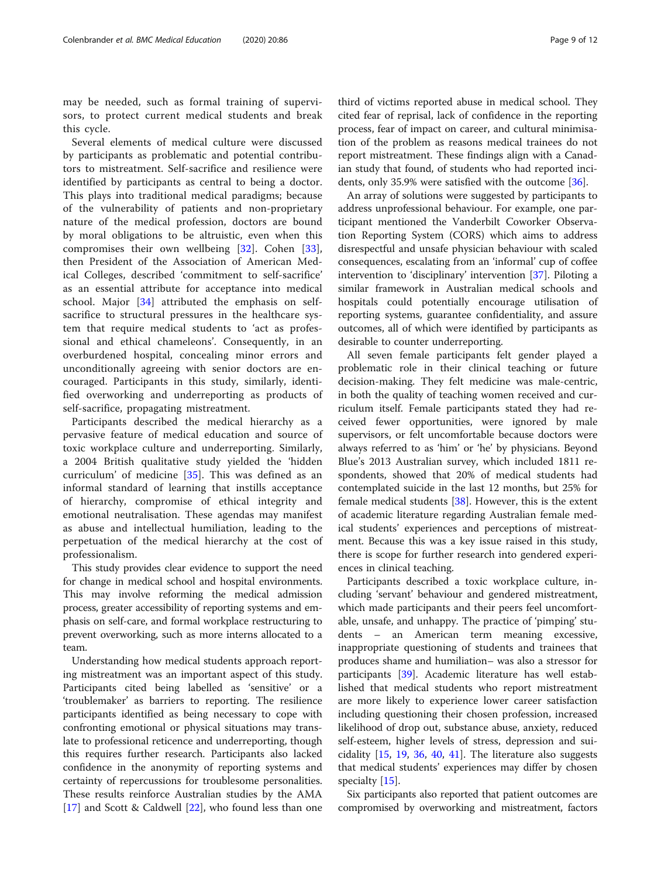may be needed, such as formal training of supervisors, to protect current medical students and break this cycle.

Several elements of medical culture were discussed by participants as problematic and potential contributors to mistreatment. Self-sacrifice and resilience were identified by participants as central to being a doctor. This plays into traditional medical paradigms; because of the vulnerability of patients and non-proprietary nature of the medical profession, doctors are bound by moral obligations to be altruistic, even when this compromises their own wellbeing [[32\]](#page-11-0). Cohen [\[33](#page-11-0)], then President of the Association of American Medical Colleges, described 'commitment to self-sacrifice' as an essential attribute for acceptance into medical school. Major [\[34](#page-11-0)] attributed the emphasis on selfsacrifice to structural pressures in the healthcare system that require medical students to 'act as professional and ethical chameleons'. Consequently, in an overburdened hospital, concealing minor errors and unconditionally agreeing with senior doctors are encouraged. Participants in this study, similarly, identified overworking and underreporting as products of self-sacrifice, propagating mistreatment.

Participants described the medical hierarchy as a pervasive feature of medical education and source of toxic workplace culture and underreporting. Similarly, a 2004 British qualitative study yielded the 'hidden curriculum' of medicine [\[35\]](#page-11-0). This was defined as an informal standard of learning that instills acceptance of hierarchy, compromise of ethical integrity and emotional neutralisation. These agendas may manifest as abuse and intellectual humiliation, leading to the perpetuation of the medical hierarchy at the cost of professionalism.

This study provides clear evidence to support the need for change in medical school and hospital environments. This may involve reforming the medical admission process, greater accessibility of reporting systems and emphasis on self-care, and formal workplace restructuring to prevent overworking, such as more interns allocated to a team.

Understanding how medical students approach reporting mistreatment was an important aspect of this study. Participants cited being labelled as 'sensitive' or a 'troublemaker' as barriers to reporting. The resilience participants identified as being necessary to cope with confronting emotional or physical situations may translate to professional reticence and underreporting, though this requires further research. Participants also lacked confidence in the anonymity of reporting systems and certainty of repercussions for troublesome personalities. These results reinforce Australian studies by the AMA [[17\]](#page-11-0) and Scott & Caldwell [\[22](#page-11-0)], who found less than one third of victims reported abuse in medical school. They cited fear of reprisal, lack of confidence in the reporting process, fear of impact on career, and cultural minimisation of the problem as reasons medical trainees do not report mistreatment. These findings align with a Canadian study that found, of students who had reported incidents, only 35.9% were satisfied with the outcome [\[36](#page-11-0)].

An array of solutions were suggested by participants to address unprofessional behaviour. For example, one participant mentioned the Vanderbilt Coworker Observation Reporting System (CORS) which aims to address disrespectful and unsafe physician behaviour with scaled consequences, escalating from an 'informal' cup of coffee intervention to 'disciplinary' intervention [\[37](#page-11-0)]. Piloting a similar framework in Australian medical schools and hospitals could potentially encourage utilisation of reporting systems, guarantee confidentiality, and assure outcomes, all of which were identified by participants as desirable to counter underreporting.

All seven female participants felt gender played a problematic role in their clinical teaching or future decision-making. They felt medicine was male-centric, in both the quality of teaching women received and curriculum itself. Female participants stated they had received fewer opportunities, were ignored by male supervisors, or felt uncomfortable because doctors were always referred to as 'him' or 'he' by physicians. Beyond Blue's 2013 Australian survey, which included 1811 respondents, showed that 20% of medical students had contemplated suicide in the last 12 months, but 25% for female medical students [[38\]](#page-11-0). However, this is the extent of academic literature regarding Australian female medical students' experiences and perceptions of mistreatment. Because this was a key issue raised in this study, there is scope for further research into gendered experiences in clinical teaching.

Participants described a toxic workplace culture, including 'servant' behaviour and gendered mistreatment, which made participants and their peers feel uncomfortable, unsafe, and unhappy. The practice of 'pimping' students – an American term meaning excessive, inappropriate questioning of students and trainees that produces shame and humiliation– was also a stressor for participants [[39\]](#page-11-0). Academic literature has well established that medical students who report mistreatment are more likely to experience lower career satisfaction including questioning their chosen profession, increased likelihood of drop out, substance abuse, anxiety, reduced self-esteem, higher levels of stress, depression and suicidality [\[15,](#page-11-0) [19,](#page-11-0) [36,](#page-11-0) [40,](#page-11-0) [41](#page-11-0)]. The literature also suggests that medical students' experiences may differ by chosen specialty [[15\]](#page-11-0).

Six participants also reported that patient outcomes are compromised by overworking and mistreatment, factors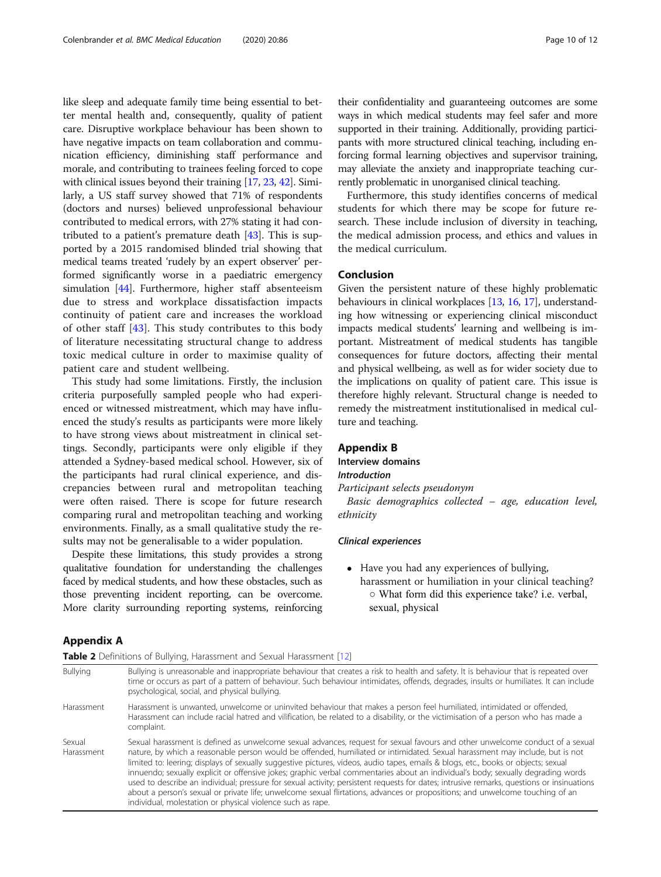<span id="page-9-0"></span>like sleep and adequate family time being essential to better mental health and, consequently, quality of patient care. Disruptive workplace behaviour has been shown to have negative impacts on team collaboration and communication efficiency, diminishing staff performance and morale, and contributing to trainees feeling forced to cope with clinical issues beyond their training [\[17,](#page-11-0) [23](#page-11-0), [42](#page-11-0)]. Similarly, a US staff survey showed that 71% of respondents (doctors and nurses) believed unprofessional behaviour contributed to medical errors, with 27% stating it had contributed to a patient's premature death [\[43\]](#page-11-0). This is supported by a 2015 randomised blinded trial showing that medical teams treated 'rudely by an expert observer' performed significantly worse in a paediatric emergency simulation [[44](#page-11-0)]. Furthermore, higher staff absenteeism due to stress and workplace dissatisfaction impacts continuity of patient care and increases the workload of other staff [[43\]](#page-11-0). This study contributes to this body of literature necessitating structural change to address toxic medical culture in order to maximise quality of patient care and student wellbeing.

This study had some limitations. Firstly, the inclusion criteria purposefully sampled people who had experienced or witnessed mistreatment, which may have influenced the study's results as participants were more likely to have strong views about mistreatment in clinical settings. Secondly, participants were only eligible if they attended a Sydney-based medical school. However, six of the participants had rural clinical experience, and discrepancies between rural and metropolitan teaching were often raised. There is scope for future research comparing rural and metropolitan teaching and working environments. Finally, as a small qualitative study the results may not be generalisable to a wider population.

Despite these limitations, this study provides a strong qualitative foundation for understanding the challenges faced by medical students, and how these obstacles, such as those preventing incident reporting, can be overcome. More clarity surrounding reporting systems, reinforcing

their confidentiality and guaranteeing outcomes are some ways in which medical students may feel safer and more supported in their training. Additionally, providing participants with more structured clinical teaching, including enforcing formal learning objectives and supervisor training, may alleviate the anxiety and inappropriate teaching currently problematic in unorganised clinical teaching.

Furthermore, this study identifies concerns of medical students for which there may be scope for future research. These include inclusion of diversity in teaching, the medical admission process, and ethics and values in the medical curriculum.

#### Conclusion

Given the persistent nature of these highly problematic behaviours in clinical workplaces [\[13,](#page-11-0) [16](#page-11-0), [17\]](#page-11-0), understanding how witnessing or experiencing clinical misconduct impacts medical students' learning and wellbeing is important. Mistreatment of medical students has tangible consequences for future doctors, affecting their mental and physical wellbeing, as well as for wider society due to the implications on quality of patient care. This issue is therefore highly relevant. Structural change is needed to remedy the mistreatment institutionalised in medical culture and teaching.

#### Appendix B

Interview domains Introduction

Participant selects pseudonym

Basic demographics collected – age, education level, ethnicity

#### Clinical experiences

 Have you had any experiences of bullying, harassment or humiliation in your clinical teaching? ○ What form did this experience take? i.e. verbal, sexual, physical

#### Appendix A

| Table 2 Definitions of Bullying, Harassment and Sexual Harassment [12] |                                                                                                                                                                                                                                                                                                                                                                                                                                                                                                                                                                                                                                                                                                                                                                                                                                                                                     |  |
|------------------------------------------------------------------------|-------------------------------------------------------------------------------------------------------------------------------------------------------------------------------------------------------------------------------------------------------------------------------------------------------------------------------------------------------------------------------------------------------------------------------------------------------------------------------------------------------------------------------------------------------------------------------------------------------------------------------------------------------------------------------------------------------------------------------------------------------------------------------------------------------------------------------------------------------------------------------------|--|
| <b>Bullying</b>                                                        | Bullying is unreasonable and inappropriate behaviour that creates a risk to health and safety. It is behaviour that is repeated over<br>time or occurs as part of a pattern of behaviour. Such behaviour intimidates, offends, degrades, insults or humiliates. It can include<br>psychological, social, and physical bullying.                                                                                                                                                                                                                                                                                                                                                                                                                                                                                                                                                     |  |
| Harassment                                                             | Harassment is unwanted, unwelcome or uninvited behaviour that makes a person feel humiliated, intimidated or offended,<br>Harassment can include racial hatred and vilification, be related to a disability, or the victimisation of a person who has made a<br>complaint.                                                                                                                                                                                                                                                                                                                                                                                                                                                                                                                                                                                                          |  |
| Sexual<br>Harassment                                                   | Sexual harassment is defined as unwelcome sexual advances, request for sexual favours and other unwelcome conduct of a sexual<br>nature, by which a reasonable person would be offended, humiliated or intimidated. Sexual harassment may include, but is not<br>limited to: leering; displays of sexually suggestive pictures, videos, audio tapes, emails & blogs, etc., books or objects; sexual<br>innuendo; sexually explicit or offensive jokes; graphic verbal commentaries about an individual's body; sexually degrading words<br>used to describe an individual; pressure for sexual activity; persistent requests for dates; intrusive remarks, questions or insinuations<br>about a person's sexual or private life; unwelcome sexual flirtations, advances or propositions; and unwelcome touching of an<br>individual, molestation or physical violence such as rape. |  |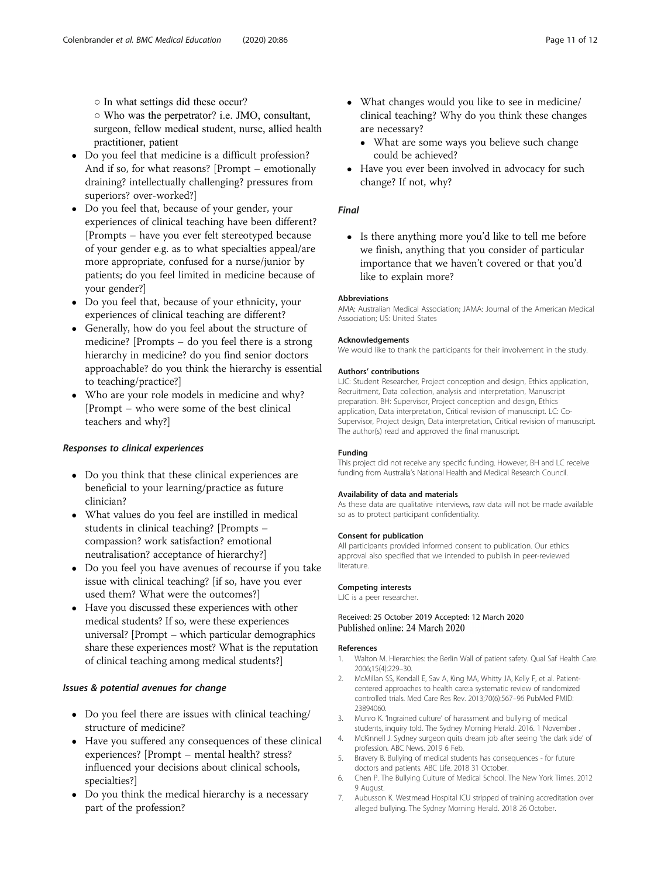<span id="page-10-0"></span>○ In what settings did these occur?

○ Who was the perpetrator? i.e. JMO, consultant, surgeon, fellow medical student, nurse, allied health practitioner, patient

- Do you feel that medicine is a difficult profession? And if so, for what reasons? [Prompt – emotionally draining? intellectually challenging? pressures from superiors? over-worked?]
- Do you feel that, because of your gender, your experiences of clinical teaching have been different? [Prompts – have you ever felt stereotyped because of your gender e.g. as to what specialties appeal/are more appropriate, confused for a nurse/junior by patients; do you feel limited in medicine because of your gender?]
- Do you feel that, because of your ethnicity, your experiences of clinical teaching are different?
- Generally, how do you feel about the structure of medicine? [Prompts – do you feel there is a strong hierarchy in medicine? do you find senior doctors approachable? do you think the hierarchy is essential to teaching/practice?]
- Who are your role models in medicine and why? [Prompt – who were some of the best clinical teachers and why?]

# Responses to clinical experiences

- Do you think that these clinical experiences are beneficial to your learning/practice as future clinician?
- What values do you feel are instilled in medical students in clinical teaching? [Prompts – compassion? work satisfaction? emotional neutralisation? acceptance of hierarchy?]
- Do you feel you have avenues of recourse if you take issue with clinical teaching? [if so, have you ever used them? What were the outcomes?]
- Have you discussed these experiences with other medical students? If so, were these experiences universal? [Prompt – which particular demographics share these experiences most? What is the reputation of clinical teaching among medical students?]

# Issues & potential avenues for change

- Do you feel there are issues with clinical teaching/ structure of medicine?
- Have you suffered any consequences of these clinical experiences? [Prompt – mental health? stress? influenced your decisions about clinical schools, specialties?]
- Do you think the medical hierarchy is a necessary part of the profession?
- What changes would you like to see in medicine/ clinical teaching? Why do you think these changes are necessary?
	- What are some ways you believe such change could be achieved?
- Have you ever been involved in advocacy for such change? If not, why?

# Final

• Is there anything more you'd like to tell me before we finish, anything that you consider of particular importance that we haven't covered or that you'd like to explain more?

# Abbreviations

AMA: Australian Medical Association; JAMA: Journal of the American Medical Association; US: United States

#### Acknowledgements

We would like to thank the participants for their involvement in the study.

#### Authors' contributions

LJC: Student Researcher, Project conception and design, Ethics application, Recruitment, Data collection, analysis and interpretation, Manuscript preparation. BH: Supervisor, Project conception and design, Ethics application, Data interpretation, Critical revision of manuscript. LC: Co-Supervisor, Project design, Data interpretation, Critical revision of manuscript. The author(s) read and approved the final manuscript.

#### Funding

This project did not receive any specific funding. However, BH and LC receive funding from Australia's National Health and Medical Research Council.

#### Availability of data and materials

As these data are qualitative interviews, raw data will not be made available so as to protect participant confidentiality.

#### Consent for publication

All participants provided informed consent to publication. Our ethics approval also specified that we intended to publish in peer-reviewed literature.

#### Competing interests

LJC is a peer researcher.

#### Received: 25 October 2019 Accepted: 12 March 2020 Published online: 24 March 2020

#### References

- 1. Walton M. Hierarchies: the Berlin Wall of patient safety. Qual Saf Health Care. 2006;15(4):229–30.
- 2. McMillan SS, Kendall E, Sav A, King MA, Whitty JA, Kelly F, et al. Patientcentered approaches to health care:a systematic review of randomized controlled trials. Med Care Res Rev. 2013;70(6):567–96 PubMed PMID: 23894060.
- 3. Munro K. 'Ingrained culture' of harassment and bullying of medical students, inquiry told. The Sydney Morning Herald. 2016. 1 November .
- 4. McKinnell J. Sydney surgeon quits dream job after seeing 'the dark side' of profession. ABC News. 2019 6 Feb.
- 5. Bravery B. Bullying of medical students has consequences for future doctors and patients. ABC Life. 2018 31 October.
- 6. Chen P. The Bullying Culture of Medical School. The New York Times. 2012 9 August.
- 7. Aubusson K. Westmead Hospital ICU stripped of training accreditation over alleged bullying. The Sydney Morning Herald. 2018 26 October.